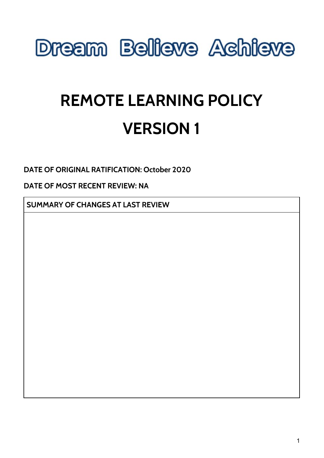

# **REMOTE LEARNING POLICY VERSION 1**

**DATE OF ORIGINAL RATIFICATION: October 2020**

**DATE OF MOST RECENT REVIEW: NA**

**SUMMARY OF CHANGES AT LAST REVIEW**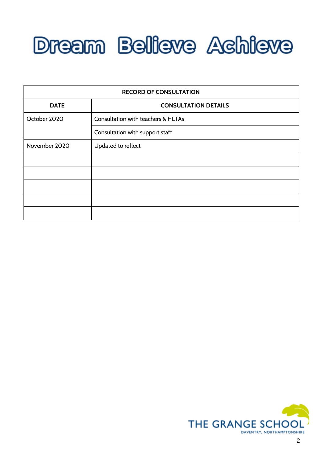

| <b>RECORD OF CONSULTATION</b> |                                    |
|-------------------------------|------------------------------------|
| <b>DATE</b>                   | <b>CONSULTATION DETAILS</b>        |
| October 2020                  | Consultation with teachers & HLTAs |
|                               | Consultation with support staff    |
| November 2020                 | Updated to reflect                 |
|                               |                                    |
|                               |                                    |
|                               |                                    |
|                               |                                    |
|                               |                                    |

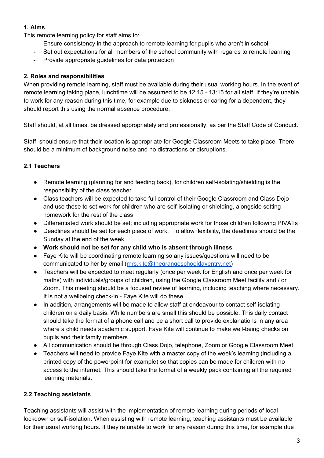## **1. Aims**

This remote learning policy for staff aims to:

- Ensure consistency in the approach to remote learning for pupils who aren't in school
- Set out expectations for all members of the school community with regards to remote learning
- Provide appropriate guidelines for data protection

## **2. Roles and responsibilities**

When providing remote learning, staff must be available during their usual working hours. In the event of remote learning taking place, lunchtime will be assumed to be 12:15 - 13:15 for all staff. If they're unable to work for any reason during this time, for example due to sickness or caring for a dependent, they should report this using the normal absence procedure.

Staff should, at all times, be dressed appropriately and professionally, as per the Staff Code of Conduct.

Staff should ensure that their location is appropriate for Google Classroom Meets to take place. There should be a minimum of background noise and no distractions or disruptions.

## **2.1 Teachers**

- Remote learning (planning for and feeding back), for children self-isolating/shielding is the responsibility of the class teacher
- Class teachers will be expected to take full control of their Google Classroom and Class Dojo and use these to set work for children who are self-isolating or shielding, alongside setting homework for the rest of the class
- Differentiated work should be set; including appropriate work for those children following PIVATs
- Deadlines should be set for each piece of work. To allow flexibility, the deadlines should be the Sunday at the end of the week.
- **● Work should not be set for any child who is absent through illness**
- **●** Faye Kite will be coordinating remote learning so any issues/questions will need to be communicated to her by email [\(mrs.kite@thegrangeschooldaventry.net\)](mailto:mrs.kite@thegrangeschooldaventry.net)
- Teachers will be expected to meet regularly (once per week for English and once per week for maths) with individuals/groups of children, using the Google Classroom Meet facility and / or Zoom. This meeting should be a focused review of learning, including teaching where necessary. It is not a wellbeing check-in - Faye Kite will do these.
- In addition, arrangements will be made to allow staff at endeavour to contact self-isolating children on a daily basis. While numbers are small this should be possible. This daily contact should take the format of a phone call and be a short call to provide explanations in any area where a child needs academic support. Faye Kite will continue to make well-being checks on pupils and their family members.
- All communication should be through Class Dojo, telephone, Zoom or Google Classroom Meet.
- Teachers will need to provide Faye Kite with a master copy of the week's learning (including a printed copy of the powerpoint for example) so that copies can be made for children with no access to the internet. This should take the format of a weekly pack containing all the required learning materials.

## **2.2 Teaching assistants**

Teaching assistants will assist with the implementation of remote learning during periods of local lockdown or self-isolation. When assisting with remote learning, teaching assistants must be available for their usual working hours. If they're unable to work for any reason during this time, for example due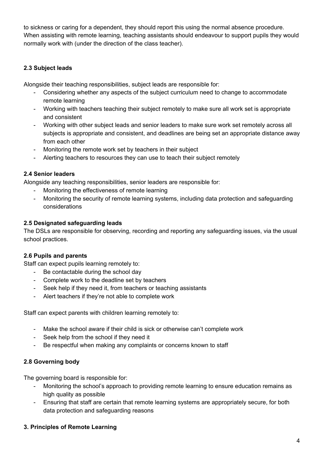to sickness or caring for a dependent, they should report this using the normal absence procedure. When assisting with remote learning, teaching assistants should endeavour to support pupils they would normally work with (under the direction of the class teacher).

## **2.3 Subject leads**

Alongside their teaching responsibilities, subject leads are responsible for:

- Considering whether any aspects of the subject curriculum need to change to accommodate remote learning
- Working with teachers teaching their subject remotely to make sure all work set is appropriate and consistent
- Working with other subject leads and senior leaders to make sure work set remotely across all subjects is appropriate and consistent, and deadlines are being set an appropriate distance away from each other
- Monitoring the remote work set by teachers in their subject
- Alerting teachers to resources they can use to teach their subject remotely

## **2.4 Senior leaders**

Alongside any teaching responsibilities, senior leaders are responsible for:

- Monitoring the effectiveness of remote learning
- Monitoring the security of remote learning systems, including data protection and safeguarding considerations

#### **2.5 Designated safeguarding leads**

The DSLs are responsible for observing, recording and reporting any safeguarding issues, via the usual school practices.

## **2.6 Pupils and parents**

Staff can expect pupils learning remotely to:

- Be contactable during the school day
- Complete work to the deadline set by teachers
- Seek help if they need it, from teachers or teaching assistants
- Alert teachers if they're not able to complete work

Staff can expect parents with children learning remotely to:

- Make the school aware if their child is sick or otherwise can't complete work
- Seek help from the school if they need it
- Be respectful when making any complaints or concerns known to staff

## **2.8 Governing body**

The governing board is responsible for:

- Monitoring the school's approach to providing remote learning to ensure education remains as high quality as possible
- Ensuring that staff are certain that remote learning systems are appropriately secure, for both data protection and safeguarding reasons

## **3. Principles of Remote Learning**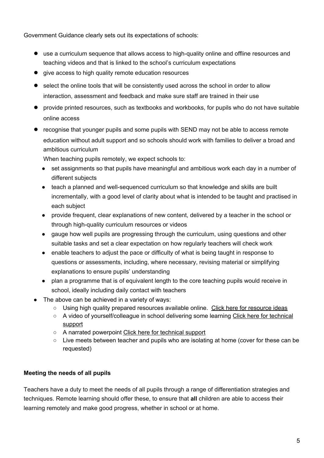Government Guidance clearly sets out its expectations of schools:

- use a curriculum sequence that allows access to high-quality online and offline resources and teaching videos and that is linked to the school's curriculum expectations
- give access to high quality remote education resources
- select the online tools that will be consistently used across the school in order to allow interaction, assessment and feedback and make sure staff are trained in their use
- provide printed resources, such as textbooks and workbooks, for pupils who do not have suitable online access
- recognise that younger pupils and some pupils with SEND may not be able to access remote education without adult support and so schools should work with families to deliver a broad and ambitious curriculum

When teaching pupils remotely, we expect schools to:

- set assignments so that pupils have meaningful and ambitious work each day in a number of different subjects
- teach a planned and well-sequenced curriculum so that knowledge and skills are built incrementally, with a good level of clarity about what is intended to be taught and practised in each subject
- provide frequent, clear explanations of new content, delivered by a teacher in the school or through high-quality curriculum resources or videos
- gauge how well pupils are progressing through the curriculum, using questions and other suitable tasks and set a clear expectation on how regularly teachers will check work
- enable teachers to adjust the pace or difficulty of what is being taught in response to questions or assessments, including, where necessary, revising material or simplifying explanations to ensure pupils' understanding
- plan a programme that is of equivalent length to the core teaching pupils would receive in school, ideally including daily contact with teachers
- The above can be achieved in a variety of ways:
	- Using high quality prepared [resource](https://docs.google.com/document/d/1LbTvgLOZs_Pb62GzoGEo6dTGifcsJssZX1DGfzSB0X0/edit)s available online. Click here for resource ideas
	- A video of yourself/colleague in school delivering some learning Click here for [technical](https://docs.google.com/document/d/1RahKU3U8HDPSst8UIhuJ8Z6Ciojk3ZMfon3NXaDxtcc/edit#) [support](https://docs.google.com/document/d/1RahKU3U8HDPSst8UIhuJ8Z6Ciojk3ZMfon3NXaDxtcc/edit#)
	- A narrated powerpoint Click here for [technical](https://docs.google.com/document/d/1RahKU3U8HDPSst8UIhuJ8Z6Ciojk3ZMfon3NXaDxtcc/edit#) support
	- Live meets between teacher and pupils who are isolating at home (cover for these can be requested)

## **Meeting the needs of all pupils**

Teachers have a duty to meet the needs of all pupils through a range of differentiation strategies and techniques. Remote learning should offer these, to ensure that **all** children are able to access their learning remotely and make good progress, whether in school or at home.